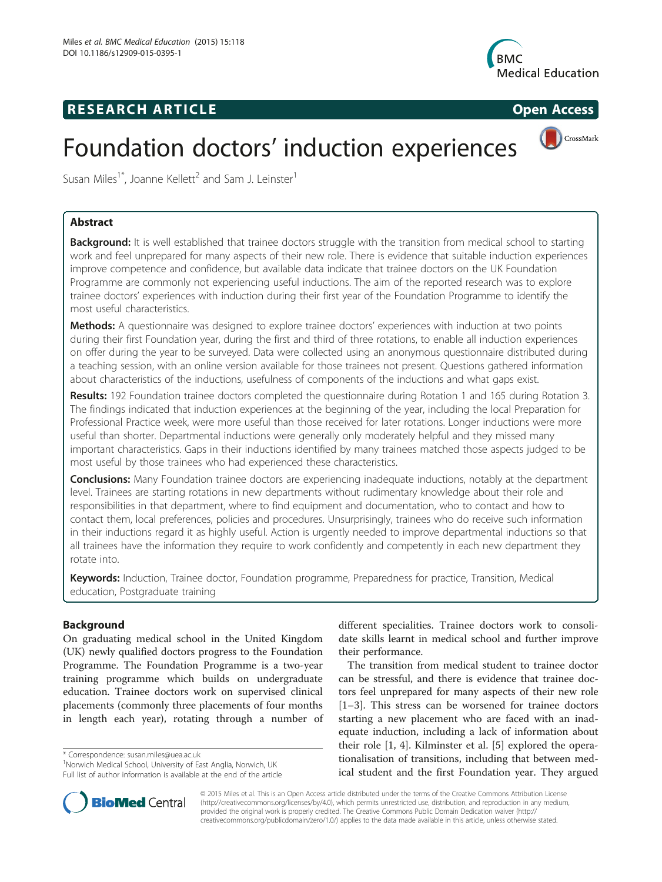# **RESEARCH ARTICLE Example 2014 CONSIDERING CONSIDERING CONSIDERING CONSIDERING CONSIDERING CONSIDERING CONSIDERING CONSIDERING CONSIDERING CONSIDERING CONSIDERING CONSIDERING CONSIDERING CONSIDERING CONSIDERING CONSIDE**



# Foundation doctors' induction experiences



Susan Miles<sup>1\*</sup>, Joanne Kellett<sup>2</sup> and Sam J. Leinster<sup>1</sup>

# Abstract

Background: It is well established that trainee doctors struggle with the transition from medical school to starting work and feel unprepared for many aspects of their new role. There is evidence that suitable induction experiences improve competence and confidence, but available data indicate that trainee doctors on the UK Foundation Programme are commonly not experiencing useful inductions. The aim of the reported research was to explore trainee doctors' experiences with induction during their first year of the Foundation Programme to identify the most useful characteristics.

Methods: A questionnaire was designed to explore trainee doctors' experiences with induction at two points during their first Foundation year, during the first and third of three rotations, to enable all induction experiences on offer during the year to be surveyed. Data were collected using an anonymous questionnaire distributed during a teaching session, with an online version available for those trainees not present. Questions gathered information about characteristics of the inductions, usefulness of components of the inductions and what gaps exist.

Results: 192 Foundation trainee doctors completed the questionnaire during Rotation 1 and 165 during Rotation 3. The findings indicated that induction experiences at the beginning of the year, including the local Preparation for Professional Practice week, were more useful than those received for later rotations. Longer inductions were more useful than shorter. Departmental inductions were generally only moderately helpful and they missed many important characteristics. Gaps in their inductions identified by many trainees matched those aspects judged to be most useful by those trainees who had experienced these characteristics.

**Conclusions:** Many Foundation trainee doctors are experiencing inadequate inductions, notably at the department level. Trainees are starting rotations in new departments without rudimentary knowledge about their role and responsibilities in that department, where to find equipment and documentation, who to contact and how to contact them, local preferences, policies and procedures. Unsurprisingly, trainees who do receive such information in their inductions regard it as highly useful. Action is urgently needed to improve departmental inductions so that all trainees have the information they require to work confidently and competently in each new department they rotate into.

Keywords: Induction, Trainee doctor, Foundation programme, Preparedness for practice, Transition, Medical education, Postgraduate training

# Background

On graduating medical school in the United Kingdom (UK) newly qualified doctors progress to the Foundation Programme. The Foundation Programme is a two-year training programme which builds on undergraduate education. Trainee doctors work on supervised clinical placements (commonly three placements of four months in length each year), rotating through a number of

\* Correspondence: [susan.miles@uea.ac.uk](mailto:susan.miles@uea.ac.uk) <sup>1</sup>

<sup>1</sup>Norwich Medical School, University of East Anglia, Norwich, UK Full list of author information is available at the end of the article different specialities. Trainee doctors work to consolidate skills learnt in medical school and further improve their performance.

The transition from medical student to trainee doctor can be stressful, and there is evidence that trainee doctors feel unprepared for many aspects of their new role [[1](#page-7-0)–[3\]](#page-7-0). This stress can be worsened for trainee doctors starting a new placement who are faced with an inadequate induction, including a lack of information about their role [\[1](#page-7-0), [4\]](#page-7-0). Kilminster et al. [[5\]](#page-7-0) explored the operationalisation of transitions, including that between medical student and the first Foundation year. They argued



© 2015 Miles et al. This is an Open Access article distributed under the terms of the Creative Commons Attribution License [\(http://creativecommons.org/licenses/by/4.0\)](http://creativecommons.org/licenses/by/4.0), which permits unrestricted use, distribution, and reproduction in any medium, provided the original work is properly credited. The Creative Commons Public Domain Dedication waiver [\(http://](http://creativecommons.org/publicdomain/zero/1.0/) [creativecommons.org/publicdomain/zero/1.0/\)](http://creativecommons.org/publicdomain/zero/1.0/) applies to the data made available in this article, unless otherwise stated.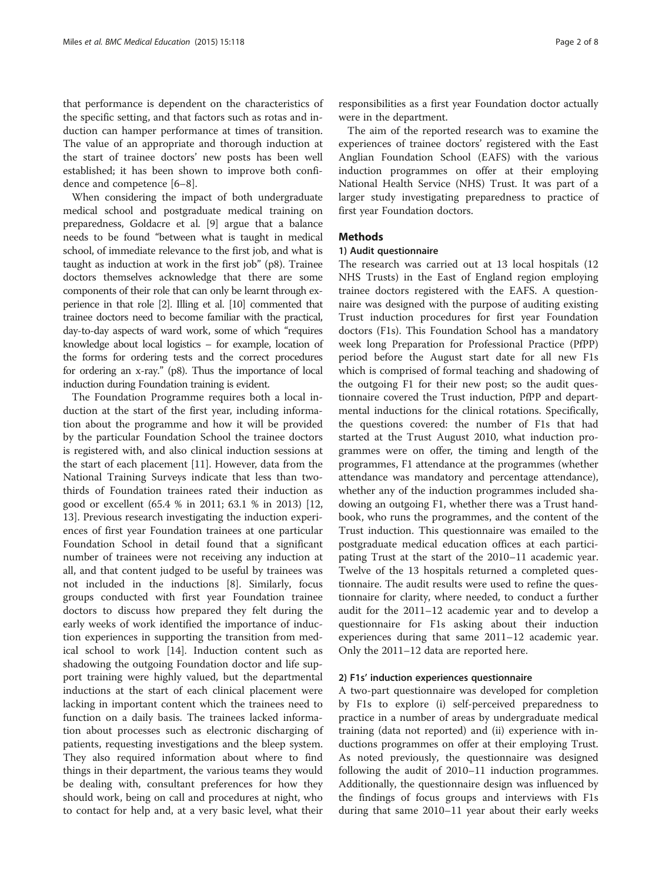that performance is dependent on the characteristics of the specific setting, and that factors such as rotas and induction can hamper performance at times of transition. The value of an appropriate and thorough induction at the start of trainee doctors' new posts has been well established; it has been shown to improve both confidence and competence [[6](#page-7-0)–[8](#page-7-0)].

When considering the impact of both undergraduate medical school and postgraduate medical training on preparedness, Goldacre et al. [[9\]](#page-7-0) argue that a balance needs to be found "between what is taught in medical school, of immediate relevance to the first job, and what is taught as induction at work in the first job" (p8). Trainee doctors themselves acknowledge that there are some components of their role that can only be learnt through experience in that role [\[2](#page-7-0)]. Illing et al. [[10](#page-7-0)] commented that trainee doctors need to become familiar with the practical, day-to-day aspects of ward work, some of which "requires knowledge about local logistics – for example, location of the forms for ordering tests and the correct procedures for ordering an x-ray." (p8). Thus the importance of local induction during Foundation training is evident.

The Foundation Programme requires both a local induction at the start of the first year, including information about the programme and how it will be provided by the particular Foundation School the trainee doctors is registered with, and also clinical induction sessions at the start of each placement [\[11\]](#page-7-0). However, data from the National Training Surveys indicate that less than twothirds of Foundation trainees rated their induction as good or excellent (65.4 % in 2011; 63.1 % in 2013) [[12](#page-7-0), [13\]](#page-7-0). Previous research investigating the induction experiences of first year Foundation trainees at one particular Foundation School in detail found that a significant number of trainees were not receiving any induction at all, and that content judged to be useful by trainees was not included in the inductions [[8\]](#page-7-0). Similarly, focus groups conducted with first year Foundation trainee doctors to discuss how prepared they felt during the early weeks of work identified the importance of induction experiences in supporting the transition from medical school to work [\[14\]](#page-7-0). Induction content such as shadowing the outgoing Foundation doctor and life support training were highly valued, but the departmental inductions at the start of each clinical placement were lacking in important content which the trainees need to function on a daily basis. The trainees lacked information about processes such as electronic discharging of patients, requesting investigations and the bleep system. They also required information about where to find things in their department, the various teams they would be dealing with, consultant preferences for how they should work, being on call and procedures at night, who to contact for help and, at a very basic level, what their

responsibilities as a first year Foundation doctor actually were in the department.

The aim of the reported research was to examine the experiences of trainee doctors' registered with the East Anglian Foundation School (EAFS) with the various induction programmes on offer at their employing National Health Service (NHS) Trust. It was part of a larger study investigating preparedness to practice of first year Foundation doctors.

#### Methods

#### 1) Audit questionnaire

The research was carried out at 13 local hospitals (12 NHS Trusts) in the East of England region employing trainee doctors registered with the EAFS. A questionnaire was designed with the purpose of auditing existing Trust induction procedures for first year Foundation doctors (F1s). This Foundation School has a mandatory week long Preparation for Professional Practice (PfPP) period before the August start date for all new F1s which is comprised of formal teaching and shadowing of the outgoing F1 for their new post; so the audit questionnaire covered the Trust induction, PfPP and departmental inductions for the clinical rotations. Specifically, the questions covered: the number of F1s that had started at the Trust August 2010, what induction programmes were on offer, the timing and length of the programmes, F1 attendance at the programmes (whether attendance was mandatory and percentage attendance), whether any of the induction programmes included shadowing an outgoing F1, whether there was a Trust handbook, who runs the programmes, and the content of the Trust induction. This questionnaire was emailed to the postgraduate medical education offices at each participating Trust at the start of the 2010–11 academic year. Twelve of the 13 hospitals returned a completed questionnaire. The audit results were used to refine the questionnaire for clarity, where needed, to conduct a further audit for the 2011–12 academic year and to develop a questionnaire for F1s asking about their induction experiences during that same 2011–12 academic year. Only the 2011–12 data are reported here.

#### 2) F1s' induction experiences questionnaire

A two-part questionnaire was developed for completion by F1s to explore (i) self-perceived preparedness to practice in a number of areas by undergraduate medical training (data not reported) and (ii) experience with inductions programmes on offer at their employing Trust. As noted previously, the questionnaire was designed following the audit of 2010–11 induction programmes. Additionally, the questionnaire design was influenced by the findings of focus groups and interviews with F1s during that same 2010–11 year about their early weeks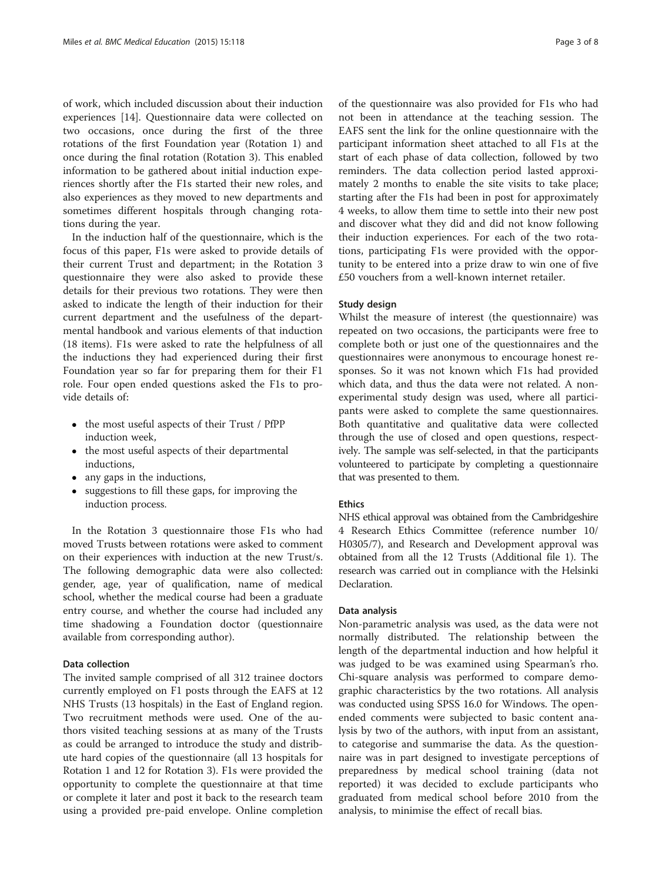of work, which included discussion about their induction experiences [[14\]](#page-7-0). Questionnaire data were collected on two occasions, once during the first of the three rotations of the first Foundation year (Rotation 1) and once during the final rotation (Rotation 3). This enabled information to be gathered about initial induction experiences shortly after the F1s started their new roles, and also experiences as they moved to new departments and sometimes different hospitals through changing rotations during the year.

In the induction half of the questionnaire, which is the focus of this paper, F1s were asked to provide details of their current Trust and department; in the Rotation 3 questionnaire they were also asked to provide these details for their previous two rotations. They were then asked to indicate the length of their induction for their current department and the usefulness of the departmental handbook and various elements of that induction (18 items). F1s were asked to rate the helpfulness of all the inductions they had experienced during their first Foundation year so far for preparing them for their F1 role. Four open ended questions asked the F1s to provide details of:

- the most useful aspects of their Trust / PfPP induction week,
- the most useful aspects of their departmental inductions,
- any gaps in the inductions,
- suggestions to fill these gaps, for improving the induction process.

In the Rotation 3 questionnaire those F1s who had moved Trusts between rotations were asked to comment on their experiences with induction at the new Trust/s. The following demographic data were also collected: gender, age, year of qualification, name of medical school, whether the medical course had been a graduate entry course, and whether the course had included any time shadowing a Foundation doctor (questionnaire available from corresponding author).

## Data collection

The invited sample comprised of all 312 trainee doctors currently employed on F1 posts through the EAFS at 12 NHS Trusts (13 hospitals) in the East of England region. Two recruitment methods were used. One of the authors visited teaching sessions at as many of the Trusts as could be arranged to introduce the study and distribute hard copies of the questionnaire (all 13 hospitals for Rotation 1 and 12 for Rotation 3). F1s were provided the opportunity to complete the questionnaire at that time or complete it later and post it back to the research team using a provided pre-paid envelope. Online completion

of the questionnaire was also provided for F1s who had not been in attendance at the teaching session. The EAFS sent the link for the online questionnaire with the participant information sheet attached to all F1s at the start of each phase of data collection, followed by two reminders. The data collection period lasted approximately 2 months to enable the site visits to take place; starting after the F1s had been in post for approximately 4 weeks, to allow them time to settle into their new post and discover what they did and did not know following their induction experiences. For each of the two rotations, participating F1s were provided with the opportunity to be entered into a prize draw to win one of five £50 vouchers from a well-known internet retailer.

#### Study design

Whilst the measure of interest (the questionnaire) was repeated on two occasions, the participants were free to complete both or just one of the questionnaires and the questionnaires were anonymous to encourage honest responses. So it was not known which F1s had provided which data, and thus the data were not related. A nonexperimental study design was used, where all participants were asked to complete the same questionnaires. Both quantitative and qualitative data were collected through the use of closed and open questions, respectively. The sample was self-selected, in that the participants volunteered to participate by completing a questionnaire that was presented to them.

#### **Ethics**

NHS ethical approval was obtained from the Cambridgeshire 4 Research Ethics Committee (reference number 10/ H0305/7), and Research and Development approval was obtained from all the 12 Trusts (Additional file [1](#page-7-0)). The research was carried out in compliance with the Helsinki Declaration.

## Data analysis

Non-parametric analysis was used, as the data were not normally distributed. The relationship between the length of the departmental induction and how helpful it was judged to be was examined using Spearman's rho. Chi-square analysis was performed to compare demographic characteristics by the two rotations. All analysis was conducted using SPSS 16.0 for Windows. The openended comments were subjected to basic content analysis by two of the authors, with input from an assistant, to categorise and summarise the data. As the questionnaire was in part designed to investigate perceptions of preparedness by medical school training (data not reported) it was decided to exclude participants who graduated from medical school before 2010 from the analysis, to minimise the effect of recall bias.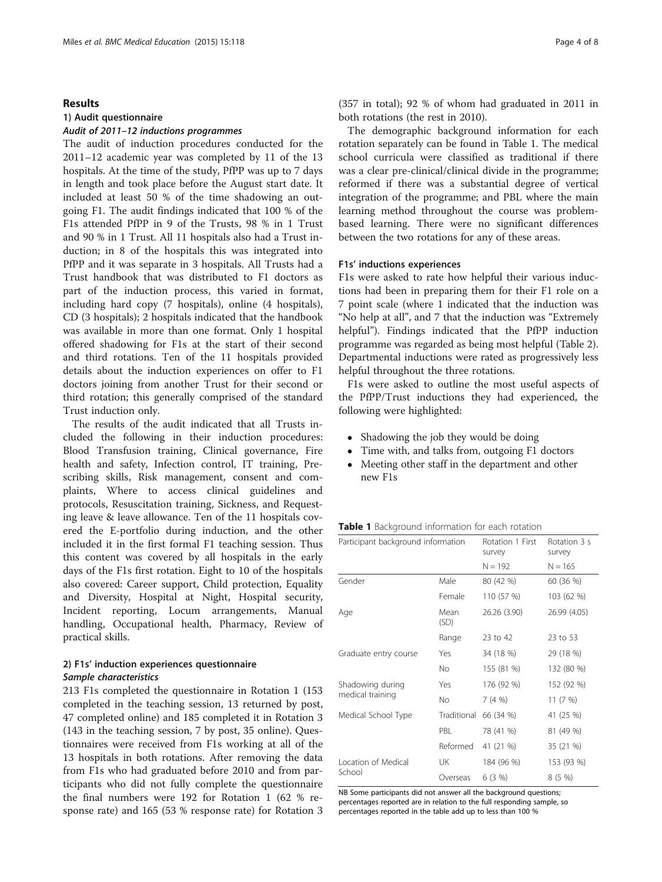#### Results

#### 1) Audit questionnaire

#### Audit of 2011–12 inductions programmes

The audit of induction procedures conducted for the 2011–12 academic year was completed by 11 of the 13 hospitals. At the time of the study, PfPP was up to 7 days in length and took place before the August start date. It included at least 50 % of the time shadowing an outgoing F1. The audit findings indicated that 100 % of the F1s attended PfPP in 9 of the Trusts, 98 % in 1 Trust and 90 % in 1 Trust. All 11 hospitals also had a Trust induction; in 8 of the hospitals this was integrated into PfPP and it was separate in 3 hospitals. All Trusts had a Trust handbook that was distributed to F1 doctors as part of the induction process, this varied in format, including hard copy (7 hospitals), online (4 hospitals), CD (3 hospitals); 2 hospitals indicated that the handbook was available in more than one format. Only 1 hospital offered shadowing for F1s at the start of their second and third rotations. Ten of the 11 hospitals provided details about the induction experiences on offer to F1 doctors joining from another Trust for their second or third rotation; this generally comprised of the standard Trust induction only.

The results of the audit indicated that all Trusts included the following in their induction procedures: Blood Transfusion training, Clinical governance, Fire health and safety, Infection control, IT training, Prescribing skills, Risk management, consent and complaints, Where to access clinical guidelines and protocols, Resuscitation training, Sickness, and Requesting leave & leave allowance. Ten of the 11 hospitals covered the E-portfolio during induction, and the other included it in the first formal F1 teaching session. Thus this content was covered by all hospitals in the early days of the F1s first rotation. Eight to 10 of the hospitals also covered: Career support, Child protection, Equality and Diversity, Hospital at Night, Hospital security, Incident reporting, Locum arrangements, Manual handling, Occupational health, Pharmacy, Review of practical skills.

# 2) F1s' induction experiences questionnaire Sample characteristics

213 F1s completed the questionnaire in Rotation 1 (153 completed in the teaching session, 13 returned by post, 47 completed online) and 185 completed it in Rotation 3 (143 in the teaching session, 7 by post, 35 online). Questionnaires were received from F1s working at all of the 13 hospitals in both rotations. After removing the data from F1s who had graduated before 2010 and from participants who did not fully complete the questionnaire the final numbers were 192 for Rotation 1 (62 % response rate) and 165 (53 % response rate) for Rotation 3

(357 in total); 92 % of whom had graduated in 2011 in both rotations (the rest in 2010).

The demographic background information for each rotation separately can be found in Table 1. The medical school curricula were classified as traditional if there was a clear pre-clinical/clinical divide in the programme; reformed if there was a substantial degree of vertical integration of the programme; and PBL where the main learning method throughout the course was problembased learning. There were no significant differences between the two rotations for any of these areas.

#### F1s' inductions experiences

F1s were asked to rate how helpful their various inductions had been in preparing them for their F1 role on a 7 point scale (where 1 indicated that the induction was "No help at all", and 7 that the induction was "Extremely helpful"). Findings indicated that the PfPP induction programme was regarded as being most helpful (Table [2](#page-4-0)). Departmental inductions were rated as progressively less helpful throughout the three rotations.

F1s were asked to outline the most useful aspects of the PfPP/Trust inductions they had experienced, the following were highlighted:

- Shadowing the job they would be doing
- Time with, and talks from, outgoing F1 doctors
- Meeting other staff in the department and other new F1s

|  |  |  | <b>Table 1</b> Background information for each rotation |  |  |  |  |
|--|--|--|---------------------------------------------------------|--|--|--|--|
|--|--|--|---------------------------------------------------------|--|--|--|--|

| Participant background information | Rotation 1 First<br>survey | Rotation 3 s<br>survey |              |
|------------------------------------|----------------------------|------------------------|--------------|
|                                    |                            | $N = 192$              | $N = 165$    |
| Gender                             | Male                       | 80 (42 %)              | 60 (36 %)    |
|                                    | Female                     | 110 (57 %)             | 103 (62 %)   |
| Age                                | Mean<br>(SD)               | 26.26 (3.90)           | 26.99 (4.05) |
|                                    | Range                      | 23 to 42               | 23 to 53     |
| Graduate entry course              | Yes                        | 34 (18 %)              | 29 (18 %)    |
|                                    | No.                        | 155 (81 %)             | 132 (80 %)   |
| Shadowing during                   | Yes                        | 176 (92 %)             | 152 (92 %)   |
| medical training                   | <b>No</b>                  | 7(4%                   | 11 (7 %)     |
| Medical School Type                | Traditional                | 66 (34 %)              | 41 (25 %)    |
|                                    | PBI                        | 78 (41 %)              | 81 (49 %)    |
|                                    | Reformed                   | 41 (21 %)              | 35 (21 %)    |
| Location of Medical                | UK                         | 184 (96 %)             | 153 (93 %)   |
| School                             | Overseas                   | 6 (3 %)                | 8(5%         |

NB Some participants did not answer all the background questions; percentages reported are in relation to the full responding sample, so percentages reported in the table add up to less than 100 %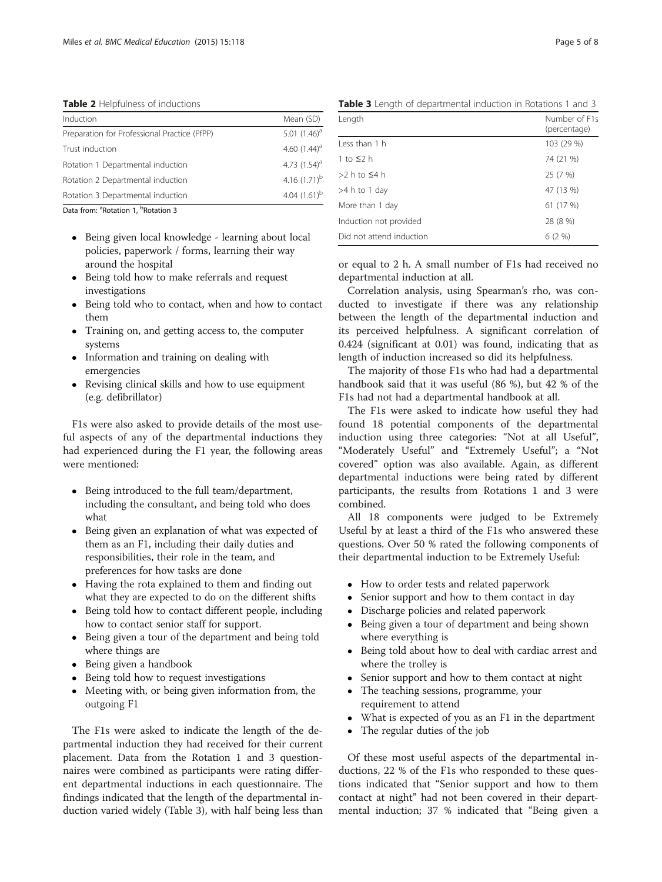<span id="page-4-0"></span>Table 2 Helpfulness of inductions

| Induction                                                   | Mean (SD)       |  |  |  |
|-------------------------------------------------------------|-----------------|--|--|--|
| Preparation for Professional Practice (PfPP)                | 5.01 $(1.46)^a$ |  |  |  |
| Trust induction                                             | 4.60 $(1.44)^a$ |  |  |  |
| Rotation 1 Departmental induction                           | 4.73 $(1.54)^a$ |  |  |  |
| Rotation 2 Departmental induction                           | 4.16 $(1.71)^b$ |  |  |  |
| Rotation 3 Departmental induction                           | 4.04 $(1.61)^b$ |  |  |  |
| Data from: <sup>a</sup> Rotation 1, <sup>b</sup> Rotation 3 |                 |  |  |  |

- Being given local knowledge learning about local policies, paperwork / forms, learning their way around the hospital
- Being told how to make referrals and request investigations
- Being told who to contact, when and how to contact them
- Training on, and getting access to, the computer systems
- Information and training on dealing with emergencies
- Revising clinical skills and how to use equipment (e.g. defibrillator)

F1s were also asked to provide details of the most useful aspects of any of the departmental inductions they had experienced during the F1 year, the following areas were mentioned:

- Being introduced to the full team/department, including the consultant, and being told who does what
- Being given an explanation of what was expected of them as an F1, including their daily duties and responsibilities, their role in the team, and preferences for how tasks are done
- Having the rota explained to them and finding out what they are expected to do on the different shifts
- Being told how to contact different people, including how to contact senior staff for support.
- Being given a tour of the department and being told where things are
- Being given a handbook
- Being told how to request investigations
- Meeting with, or being given information from, the outgoing F1

The F1s were asked to indicate the length of the departmental induction they had received for their current placement. Data from the Rotation 1 and 3 questionnaires were combined as participants were rating different departmental inductions in each questionnaire. The findings indicated that the length of the departmental induction varied widely (Table 3), with half being less than

Table 3 Length of departmental induction in Rotations 1 and 3 Length **Number of F1s** (percentage)

|                          | (percentage) |
|--------------------------|--------------|
| Less than 1 h            | 103 (29 %)   |
| 1 to $\leq$ 2 h          | 74 (21 %)    |
| >2 h to 54 h             | 25 (7 %)     |
| $>4$ h to 1 day          | 47 (13 %)    |
| More than 1 day          | 61 (17 %)    |
| Induction not provided   | 28 (8 %)     |
| Did not attend induction | 6(2%)        |

or equal to 2 h. A small number of F1s had received no departmental induction at all.

Correlation analysis, using Spearman's rho, was conducted to investigate if there was any relationship between the length of the departmental induction and its perceived helpfulness. A significant correlation of 0.424 (significant at 0.01) was found, indicating that as length of induction increased so did its helpfulness.

The majority of those F1s who had had a departmental handbook said that it was useful (86 %), but 42 % of the F1s had not had a departmental handbook at all.

The F1s were asked to indicate how useful they had found 18 potential components of the departmental induction using three categories: "Not at all Useful", "Moderately Useful" and "Extremely Useful"; a "Not covered" option was also available. Again, as different departmental inductions were being rated by different participants, the results from Rotations 1 and 3 were combined.

All 18 components were judged to be Extremely Useful by at least a third of the F1s who answered these questions. Over 50 % rated the following components of their departmental induction to be Extremely Useful:

- How to order tests and related paperwork
- Senior support and how to them contact in day
- Discharge policies and related paperwork
- Being given a tour of department and being shown where everything is
- Being told about how to deal with cardiac arrest and where the trolley is
- Senior support and how to them contact at night
- The teaching sessions, programme, your requirement to attend
- What is expected of you as an F1 in the department
- The regular duties of the job

Of these most useful aspects of the departmental inductions, 22 % of the F1s who responded to these questions indicated that "Senior support and how to them contact at night" had not been covered in their departmental induction; 37 % indicated that "Being given a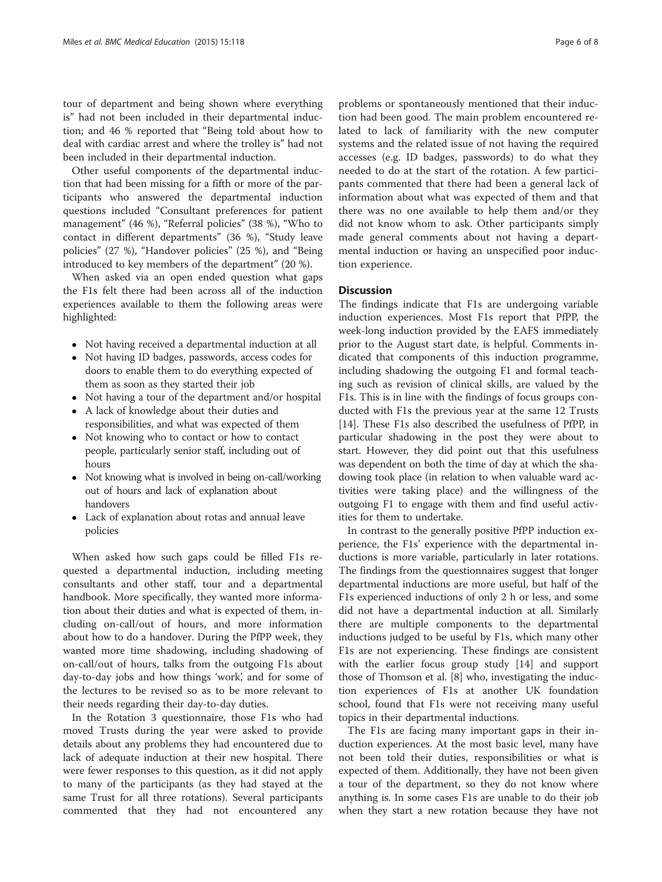tour of department and being shown where everything is" had not been included in their departmental induction; and 46 % reported that "Being told about how to deal with cardiac arrest and where the trolley is" had not been included in their departmental induction.

Other useful components of the departmental induction that had been missing for a fifth or more of the participants who answered the departmental induction questions included "Consultant preferences for patient management" (46 %), "Referral policies" (38 %), "Who to contact in different departments" (36 %), "Study leave policies" (27 %), "Handover policies" (25 %), and "Being introduced to key members of the department" (20 %).

When asked via an open ended question what gaps the F1s felt there had been across all of the induction experiences available to them the following areas were highlighted:

- Not having received a departmental induction at all
- Not having ID badges, passwords, access codes for doors to enable them to do everything expected of them as soon as they started their job
- Not having a tour of the department and/or hospital
- A lack of knowledge about their duties and responsibilities, and what was expected of them
- Not knowing who to contact or how to contact people, particularly senior staff, including out of hours
- Not knowing what is involved in being on-call/working out of hours and lack of explanation about handovers
- Lack of explanation about rotas and annual leave policies

When asked how such gaps could be filled F1s requested a departmental induction, including meeting consultants and other staff, tour and a departmental handbook. More specifically, they wanted more information about their duties and what is expected of them, including on-call/out of hours, and more information about how to do a handover. During the PfPP week, they wanted more time shadowing, including shadowing of on-call/out of hours, talks from the outgoing F1s about day-to-day jobs and how things 'work', and for some of the lectures to be revised so as to be more relevant to their needs regarding their day-to-day duties.

In the Rotation 3 questionnaire, those F1s who had moved Trusts during the year were asked to provide details about any problems they had encountered due to lack of adequate induction at their new hospital. There were fewer responses to this question, as it did not apply to many of the participants (as they had stayed at the same Trust for all three rotations). Several participants commented that they had not encountered any

problems or spontaneously mentioned that their induction had been good. The main problem encountered related to lack of familiarity with the new computer systems and the related issue of not having the required accesses (e.g. ID badges, passwords) to do what they needed to do at the start of the rotation. A few participants commented that there had been a general lack of information about what was expected of them and that there was no one available to help them and/or they did not know whom to ask. Other participants simply made general comments about not having a departmental induction or having an unspecified poor induction experience.

#### **Discussion**

The findings indicate that F1s are undergoing variable induction experiences. Most F1s report that PfPP, the week-long induction provided by the EAFS immediately prior to the August start date, is helpful. Comments indicated that components of this induction programme, including shadowing the outgoing F1 and formal teaching such as revision of clinical skills, are valued by the F1s. This is in line with the findings of focus groups conducted with F1s the previous year at the same 12 Trusts [[14\]](#page-7-0). These F1s also described the usefulness of PfPP, in particular shadowing in the post they were about to start. However, they did point out that this usefulness was dependent on both the time of day at which the shadowing took place (in relation to when valuable ward activities were taking place) and the willingness of the outgoing F1 to engage with them and find useful activities for them to undertake.

In contrast to the generally positive PfPP induction experience, the F1s' experience with the departmental inductions is more variable, particularly in later rotations. The findings from the questionnaires suggest that longer departmental inductions are more useful, but half of the F1s experienced inductions of only 2 h or less, and some did not have a departmental induction at all. Similarly there are multiple components to the departmental inductions judged to be useful by F1s, which many other F1s are not experiencing. These findings are consistent with the earlier focus group study [\[14](#page-7-0)] and support those of Thomson et al. [[8](#page-7-0)] who, investigating the induction experiences of F1s at another UK foundation school, found that F1s were not receiving many useful topics in their departmental inductions.

The F1s are facing many important gaps in their induction experiences. At the most basic level, many have not been told their duties, responsibilities or what is expected of them. Additionally, they have not been given a tour of the department, so they do not know where anything is. In some cases F1s are unable to do their job when they start a new rotation because they have not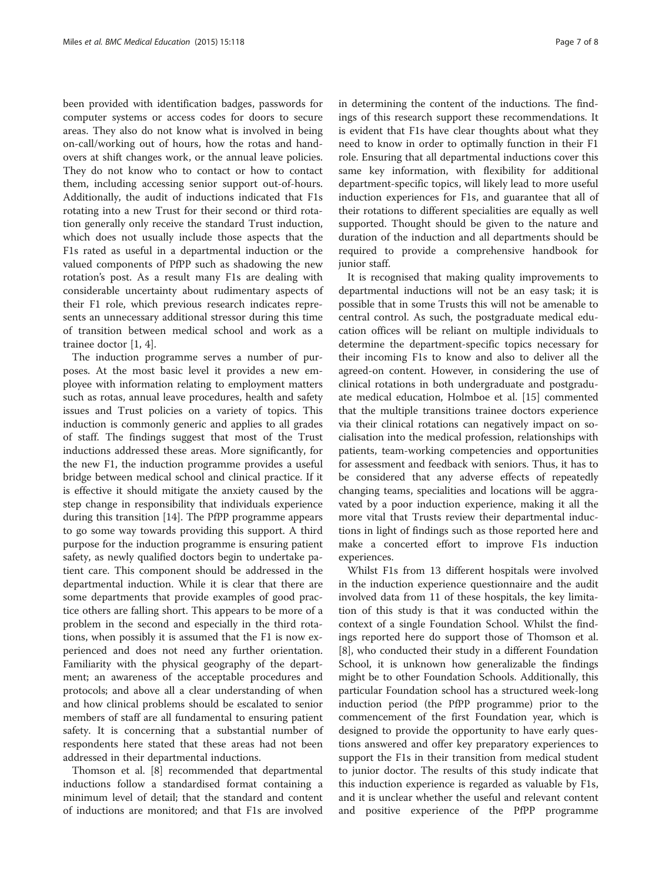been provided with identification badges, passwords for computer systems or access codes for doors to secure areas. They also do not know what is involved in being on-call/working out of hours, how the rotas and handovers at shift changes work, or the annual leave policies. They do not know who to contact or how to contact them, including accessing senior support out-of-hours. Additionally, the audit of inductions indicated that F1s rotating into a new Trust for their second or third rotation generally only receive the standard Trust induction, which does not usually include those aspects that the F1s rated as useful in a departmental induction or the valued components of PfPP such as shadowing the new rotation's post. As a result many F1s are dealing with considerable uncertainty about rudimentary aspects of their F1 role, which previous research indicates represents an unnecessary additional stressor during this time of transition between medical school and work as a trainee doctor [\[1](#page-7-0), [4](#page-7-0)].

The induction programme serves a number of purposes. At the most basic level it provides a new employee with information relating to employment matters such as rotas, annual leave procedures, health and safety issues and Trust policies on a variety of topics. This induction is commonly generic and applies to all grades of staff. The findings suggest that most of the Trust inductions addressed these areas. More significantly, for the new F1, the induction programme provides a useful bridge between medical school and clinical practice. If it is effective it should mitigate the anxiety caused by the step change in responsibility that individuals experience during this transition [[14](#page-7-0)]. The PfPP programme appears to go some way towards providing this support. A third purpose for the induction programme is ensuring patient safety, as newly qualified doctors begin to undertake patient care. This component should be addressed in the departmental induction. While it is clear that there are some departments that provide examples of good practice others are falling short. This appears to be more of a problem in the second and especially in the third rotations, when possibly it is assumed that the F1 is now experienced and does not need any further orientation. Familiarity with the physical geography of the department; an awareness of the acceptable procedures and protocols; and above all a clear understanding of when and how clinical problems should be escalated to senior members of staff are all fundamental to ensuring patient safety. It is concerning that a substantial number of respondents here stated that these areas had not been addressed in their departmental inductions.

Thomson et al. [[8\]](#page-7-0) recommended that departmental inductions follow a standardised format containing a minimum level of detail; that the standard and content of inductions are monitored; and that F1s are involved

in determining the content of the inductions. The findings of this research support these recommendations. It is evident that F1s have clear thoughts about what they need to know in order to optimally function in their F1 role. Ensuring that all departmental inductions cover this same key information, with flexibility for additional department-specific topics, will likely lead to more useful induction experiences for F1s, and guarantee that all of their rotations to different specialities are equally as well supported. Thought should be given to the nature and duration of the induction and all departments should be required to provide a comprehensive handbook for junior staff.

It is recognised that making quality improvements to departmental inductions will not be an easy task; it is possible that in some Trusts this will not be amenable to central control. As such, the postgraduate medical education offices will be reliant on multiple individuals to determine the department-specific topics necessary for their incoming F1s to know and also to deliver all the agreed-on content. However, in considering the use of clinical rotations in both undergraduate and postgraduate medical education, Holmboe et al. [\[15\]](#page-7-0) commented that the multiple transitions trainee doctors experience via their clinical rotations can negatively impact on socialisation into the medical profession, relationships with patients, team-working competencies and opportunities for assessment and feedback with seniors. Thus, it has to be considered that any adverse effects of repeatedly changing teams, specialities and locations will be aggravated by a poor induction experience, making it all the more vital that Trusts review their departmental inductions in light of findings such as those reported here and make a concerted effort to improve F1s induction experiences.

Whilst F1s from 13 different hospitals were involved in the induction experience questionnaire and the audit involved data from 11 of these hospitals, the key limitation of this study is that it was conducted within the context of a single Foundation School. Whilst the findings reported here do support those of Thomson et al. [[8\]](#page-7-0), who conducted their study in a different Foundation School, it is unknown how generalizable the findings might be to other Foundation Schools. Additionally, this particular Foundation school has a structured week-long induction period (the PfPP programme) prior to the commencement of the first Foundation year, which is designed to provide the opportunity to have early questions answered and offer key preparatory experiences to support the F1s in their transition from medical student to junior doctor. The results of this study indicate that this induction experience is regarded as valuable by F1s, and it is unclear whether the useful and relevant content and positive experience of the PfPP programme